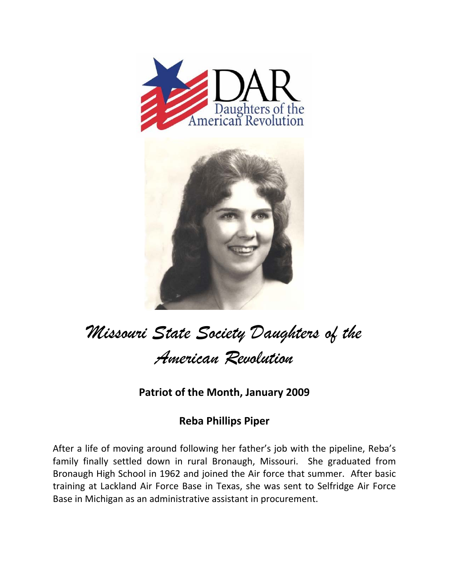



## *Missouri State Society Daughters of the American Revolution*

**Patriot of the Month, January 2009**

## **Reba Phillips Piper**

After a life of moving around following her father's job with the pipeline, Reba's family finally settled down in rural Bronaugh, Missouri. She graduated from Bronaugh High School in 1962 and joined the Air force that summer. After basic training at Lackland Air Force Base in Texas, she was sent to Selfridge Air Force Base in Michigan as an administrative assistant in procurement.